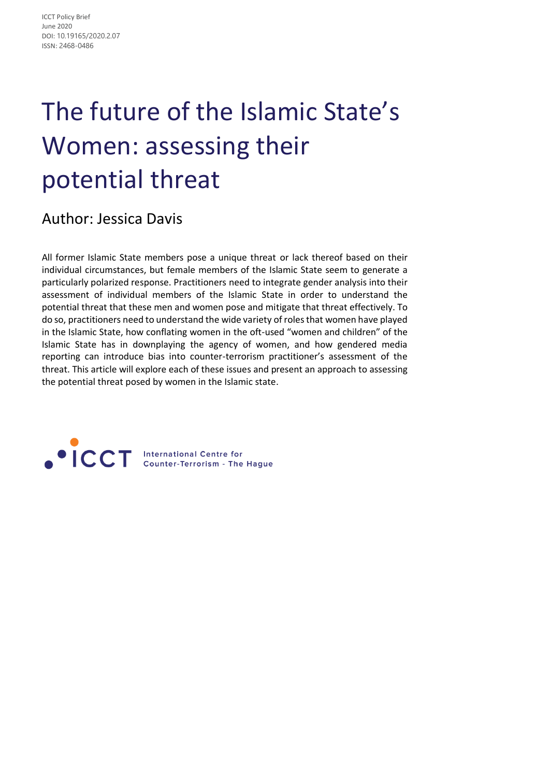# The future of the Islamic State's Women: assessing their potential threat

Author: Jessica Davis

All former Islamic State members pose a unique threat or lack thereof based on their individual circumstances, but female members of the Islamic State seem to generate a particularly polarized response. Practitioners need to integrate gender analysis into their assessment of individual members of the Islamic State in order to understand the potential threat that these men and women pose and mitigate that threat effectively. To do so, practitioners need to understand the wide variety of roles that women have played in the Islamic State, how conflating women in the oft-used "women and children" of the Islamic State has in downplaying the agency of women, and how gendered media reporting can introduce bias into counter-terrorism practitioner's assessment of the threat. This article will explore each of these issues and present an approach to assessing the potential threat posed by women in the Islamic state.

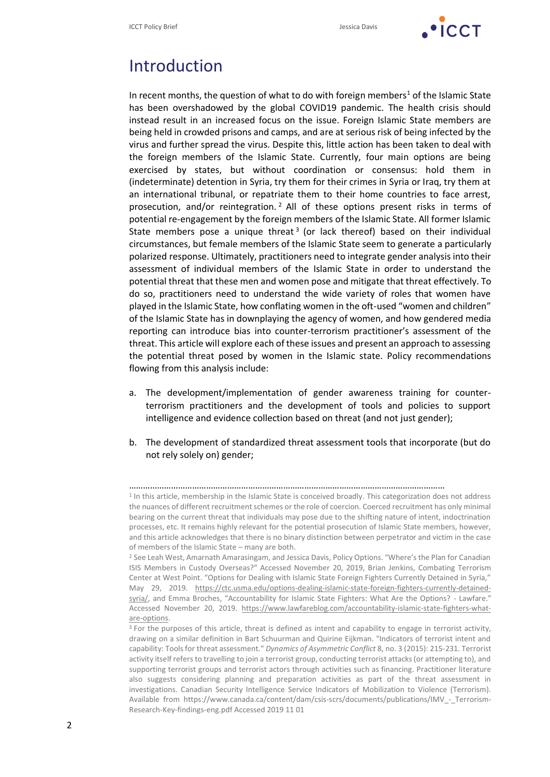

#### Introduction

In recent months, the question of what to do with foreign members<sup>1</sup> of the Islamic State has been overshadowed by the global COVID19 pandemic. The health crisis should instead result in an increased focus on the issue. Foreign Islamic State members are being held in crowded prisons and camps, and are at serious risk of being infected by the virus and further spread the virus. Despite this, little action has been taken to deal with the foreign members of the Islamic State. Currently, four main options are being exercised by states, but without coordination or consensus: hold them in (indeterminate) detention in Syria, try them for their crimes in Syria or Iraq, try them at an international tribunal, or repatriate them to their home countries to face arrest, prosecution, and/or reintegration. <sup>2</sup> All of these options present risks in terms of potential re-engagement by the foreign members of the Islamic State. All former Islamic State members pose a unique threat<sup>3</sup> (or lack thereof) based on their individual circumstances, but female members of the Islamic State seem to generate a particularly polarized response. Ultimately, practitioners need to integrate gender analysis into their assessment of individual members of the Islamic State in order to understand the potential threat that these men and women pose and mitigate that threat effectively. To do so, practitioners need to understand the wide variety of roles that women have played in the Islamic State, how conflating women in the oft-used "women and children" of the Islamic State has in downplaying the agency of women, and how gendered media reporting can introduce bias into counter-terrorism practitioner's assessment of the threat. This article will explore each of these issues and present an approach to assessing the potential threat posed by women in the Islamic state. Policy recommendations flowing from this analysis include:

- a. The development/implementation of gender awareness training for counterterrorism practitioners and the development of tools and policies to support intelligence and evidence collection based on threat (and not just gender);
- b. The development of standardized threat assessment tools that incorporate (but do not rely solely on) gender;

<sup>………………………………………………………………………………………………………………………</sup>

<sup>&</sup>lt;sup>1</sup> In this article, membership in the Islamic State is conceived broadly. This categorization does not address the nuances of different recruitment schemes or the role of coercion. Coerced recruitment has only minimal bearing on the current threat that individuals may pose due to the shifting nature of intent, indoctrination processes, etc. It remains highly relevant for the potential prosecution of Islamic State members, however, and this article acknowledges that there is no binary distinction between perpetrator and victim in the case of members of the Islamic State – many are both.

<sup>2</sup> See Leah West, Amarnath Amarasingam, and Jessica Davis, Policy Options. "Where's the Plan for Canadian ISIS Members in Custody Overseas?" Accessed November 20, 2019, Brian Jenkins, Combating Terrorism Center at West Point. "Options for Dealing with Islamic State Foreign Fighters Currently Detained in Syria," May 29, 2019. [https://ctc.usma.edu/options-dealing-islamic-state-foreign-fighters-currently-detained](https://ctc.usma.edu/options-dealing-islamic-state-foreign-fighters-currently-detained-syria/)[syria/](https://ctc.usma.edu/options-dealing-islamic-state-foreign-fighters-currently-detained-syria/), and Emma Broches, "Accountability for Islamic State Fighters: What Are the Options? - Lawfare." Accessed November 20, 2019. [https://www.lawfareblog.com/accountability-islamic-state-fighters-what](https://www.lawfareblog.com/accountability-islamic-state-fighters-what-are-options)[are-options.](https://www.lawfareblog.com/accountability-islamic-state-fighters-what-are-options)

<sup>&</sup>lt;sup>3</sup> For the purposes of this article, threat is defined as intent and capability to engage in terrorist activity, drawing on a similar definition in Bart Schuurman and Quirine Eijkman. "Indicators of terrorist intent and capability: Tools for threat assessment." *Dynamics of Asymmetric Conflict* 8, no. 3 (2015): 215-231. Terrorist activity itself refers to travelling to join a terrorist group, conducting terrorist attacks (or attempting to), and supporting terrorist groups and terrorist actors through activities such as financing. Practitioner literature also suggests considering planning and preparation activities as part of the threat assessment in investigations. Canadian Security Intelligence Service Indicators of Mobilization to Violence (Terrorism). Available from https://www.canada.ca/content/dam/csis-scrs/documents/publications/IMV - Terrorism-[Research-Key-findings-eng.pdf](https://www.canada.ca/content/dam/csis-scrs/documents/publications/IMV_-_Terrorism-Research-Key-findings-eng.pdf) Accessed 2019 11 01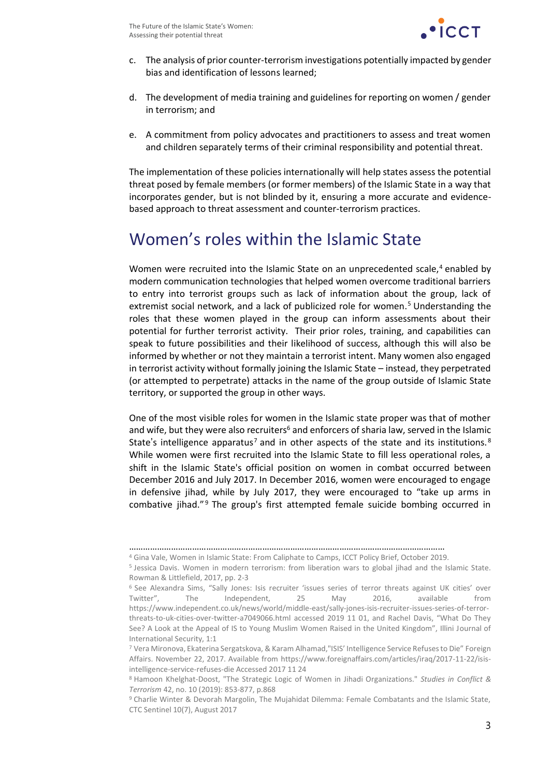

- c. The analysis of prior counter-terrorism investigations potentially impacted by gender bias and identification of lessons learned;
- d. The development of media training and guidelines for reporting on women / gender in terrorism; and
- e. A commitment from policy advocates and practitioners to assess and treat women and children separately terms of their criminal responsibility and potential threat.

The implementation of these policies internationally will help states assess the potential threat posed by female members (or former members) of the Islamic State in a way that incorporates gender, but is not blinded by it, ensuring a more accurate and evidencebased approach to threat assessment and counter-terrorism practices.

#### Women's roles within the Islamic State

Women were recruited into the Islamic State on an unprecedented scale,<sup>4</sup> enabled by modern communication technologies that helped women overcome traditional barriers to entry into terrorist groups such as lack of information about the group, lack of extremist social network, and a lack of publicized role for women.<sup>5</sup> Understanding the roles that these women played in the group can inform assessments about their potential for further terrorist activity. Their prior roles, training, and capabilities can speak to future possibilities and their likelihood of success, although this will also be informed by whether or not they maintain a terrorist intent. Many women also engaged in terrorist activity without formally joining the Islamic State – instead, they perpetrated (or attempted to perpetrate) attacks in the name of the group outside of Islamic State territory, or supported the group in other ways.

One of the most visible roles for women in the Islamic state proper was that of mother and wife, but they were also recruiters<sup>6</sup> and enforcers of sharia law, served in the Islamic State's intelligence apparatus<sup>7</sup> and in other aspects of the state and its institutions.<sup>8</sup> While women were first recruited into the Islamic State to fill less operational roles, a shift in the Islamic State's official position on women in combat occurred between December 2016 and July 2017. In December 2016, women were encouraged to engage in defensive jihad, while by July 2017, they were encouraged to "take up arms in combative jihad."<sup>9</sup> The group's first attempted female suicide bombing occurred in

<sup>………………………………………………………………………………………………………………………</sup>

<sup>4</sup> Gina Vale, Women in Islamic State: From Caliphate to Camps, ICCT Policy Brief, October 2019.

<sup>5</sup> Jessica Davis. Women in modern terrorism: from liberation wars to global jihad and the Islamic State. Rowman & Littlefield, 2017, pp. 2-3

<sup>6</sup> See Alexandra Sims, "Sally Jones: Isis recruiter 'issues series of terror threats against UK cities' over Twitter", The Independent, 25 May 2016, available from [https://www.independent.co.uk/news/world/middle-east/sally-jones-isis-recruiter-issues-series-of-terror](https://www.independent.co.uk/news/world/middle-east/sally-jones-isis-recruiter-issues-series-of-terror-threats-to-uk-cities-over-twitter-a7049066.html)[threats-to-uk-cities-over-twitter-a7049066.html](https://www.independent.co.uk/news/world/middle-east/sally-jones-isis-recruiter-issues-series-of-terror-threats-to-uk-cities-over-twitter-a7049066.html) accessed 2019 11 01, and Rachel Davis, "What Do They See? A Look at the Appeal of IS to Young Muslim Women Raised in the United Kingdom", Illini Journal of International Security, 1:1

<sup>7</sup> Vera Mironova, Ekaterina Sergatskova, & Karam Alhamad,"ISIS' Intelligence Service Refuses to Die" Foreign Affairs. November 22, 2017. Available from [https://www.foreignaffairs.com/articles/iraq/2017-11-22/isis](https://www.foreignaffairs.com/articles/iraq/2017-11-22/isis-intelligence-service-refuses-die)[intelligence-service-refuses-die](https://www.foreignaffairs.com/articles/iraq/2017-11-22/isis-intelligence-service-refuses-die) Accessed 2017 11 24

<sup>8</sup> Hamoon Khelghat-Doost, "The Strategic Logic of Women in Jihadi Organizations." *Studies in Conflict & Terrorism* 42, no. 10 (2019): 853-877, p.868

<sup>9</sup> Charlie Winter & Devorah Margolin, The Mujahidat Dilemma: Female Combatants and the Islamic State, CTC Sentinel 10(7), August 2017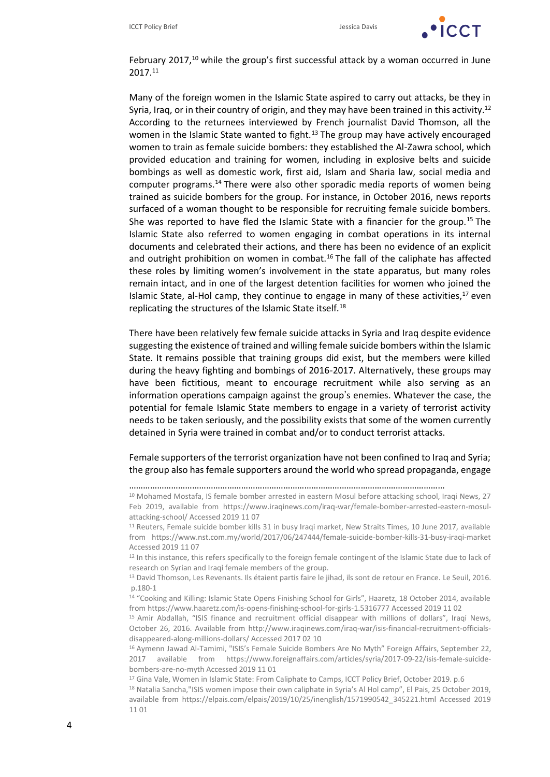

February 2017,<sup>10</sup> while the group's first successful attack by a woman occurred in June 2017.<sup>11</sup>

Many of the foreign women in the Islamic State aspired to carry out attacks, be they in Syria, Iraq, or in their country of origin, and they may have been trained in this activity.<sup>12</sup> According to the returnees interviewed by French journalist David Thomson, all the women in the Islamic State wanted to fight.<sup>13</sup> The group may have actively encouraged women to train as female suicide bombers: they established the Al-Zawra school, which provided education and training for women, including in explosive belts and suicide bombings as well as domestic work, first aid, Islam and Sharia law, social media and computer programs.<sup>14</sup> There were also other sporadic media reports of women being trained as suicide bombers for the group. For instance, in October 2016, news reports surfaced of a woman thought to be responsible for recruiting female suicide bombers. She was reported to have fled the Islamic State with a financier for the group.<sup>15</sup> The Islamic State also referred to women engaging in combat operations in its internal documents and celebrated their actions, and there has been no evidence of an explicit and outright prohibition on women in combat.<sup>16</sup> The fall of the caliphate has affected these roles by limiting women's involvement in the state apparatus, but many roles remain intact, and in one of the largest detention facilities for women who joined the Islamic State, al-Hol camp, they continue to engage in many of these activities, $^{17}$  even replicating the structures of the Islamic State itself.<sup>18</sup>

There have been relatively few female suicide attacks in Syria and Iraq despite evidence suggesting the existence of trained and willing female suicide bombers within the Islamic State. It remains possible that training groups did exist, but the members were killed during the heavy fighting and bombings of 2016-2017. Alternatively, these groups may have been fictitious, meant to encourage recruitment while also serving as an information operations campaign against the group's enemies. Whatever the case, the potential for female Islamic State members to engage in a variety of terrorist activity needs to be taken seriously, and the possibility exists that some of the women currently detained in Syria were trained in combat and/or to conduct terrorist attacks.

Female supporters of the terrorist organization have not been confined to Iraq and Syria; the group also has female supporters around the world who spread propaganda, engage

<sup>………………………………………………………………………………………………………………………</sup>

<sup>10</sup> Mohamed Mostafa, IS female bomber arrested in eastern Mosul before attacking school, Iraqi News, 27 Feb 2019, available from [https://www.iraqinews.com/iraq-war/female-bomber-arrested-eastern-mosul](https://www.iraqinews.com/iraq-war/female-bomber-arrested-eastern-mosul-attacking-school/)[attacking-school/](https://www.iraqinews.com/iraq-war/female-bomber-arrested-eastern-mosul-attacking-school/) Accessed 2019 11 07

<sup>11</sup> Reuters, Female suicide bomber kills 31 in busy Iraqi market, New Straits Times, 10 June 2017, available from <https://www.nst.com.my/world/2017/06/247444/female-suicide-bomber-kills-31-busy-iraqi-market> Accessed 2019 11 07

<sup>&</sup>lt;sup>12</sup> In this instance, this refers specifically to the foreign female contingent of the Islamic State due to lack of research on Syrian and Iraqi female members of the group.

<sup>&</sup>lt;sup>13</sup> David Thomson, Les Revenants. Ils étaient partis faire le jihad, ils sont de retour en France. Le Seuil, 2016. p.180-1

<sup>14</sup> "Cooking and Killing: Islamic State Opens Finishing School for Girls", Haaretz, 18 October 2014, available fro[m https://www.haaretz.com/is-opens-finishing-school-for-girls-1.5316777](https://www.haaretz.com/is-opens-finishing-school-for-girls-1.5316777) Accessed 2019 11 02

<sup>15</sup> Amir Abdallah, "ISIS finance and recruitment official disappear with millions of dollars", Iraqi News, October 26, 2016. Available from [http://www.iraqinews.com/iraq-war/isis-financial-recruitment-officials](http://www.iraqinews.com/iraq-war/isis-financial-recruitment-officials-disappeared-along-millions-dollars/)[disappeared-along-millions-dollars/](http://www.iraqinews.com/iraq-war/isis-financial-recruitment-officials-disappeared-along-millions-dollars/) Accessed 2017 02 10

<sup>&</sup>lt;sup>16</sup> Aymenn Jawad Al-Tamimi, "ISIS's Female Suicide Bombers Are No Myth" Foreign Affairs, September 22, 2017 available from [https://www.foreignaffairs.com/articles/syria/2017-09-22/isis-female-suicide](https://www.foreignaffairs.com/articles/syria/2017-09-22/isis-female-suicide-bombers-are-no-myth)[bombers-are-no-myth](https://www.foreignaffairs.com/articles/syria/2017-09-22/isis-female-suicide-bombers-are-no-myth) Accessed 2019 11 01

<sup>&</sup>lt;sup>17</sup> Gina Vale, Women in Islamic State: From Caliphate to Camps, ICCT Policy Brief, October 2019. p.6

<sup>&</sup>lt;sup>18</sup> Natalia Sancha,"ISIS women impose their own caliphate in Syria's Al Hol camp", El Pais, 25 October 2019, available from [https://elpais.com/elpais/2019/10/25/inenglish/1571990542\\_345221.html](https://elpais.com/elpais/2019/10/25/inenglish/1571990542_345221.html) Accessed 2019 11 01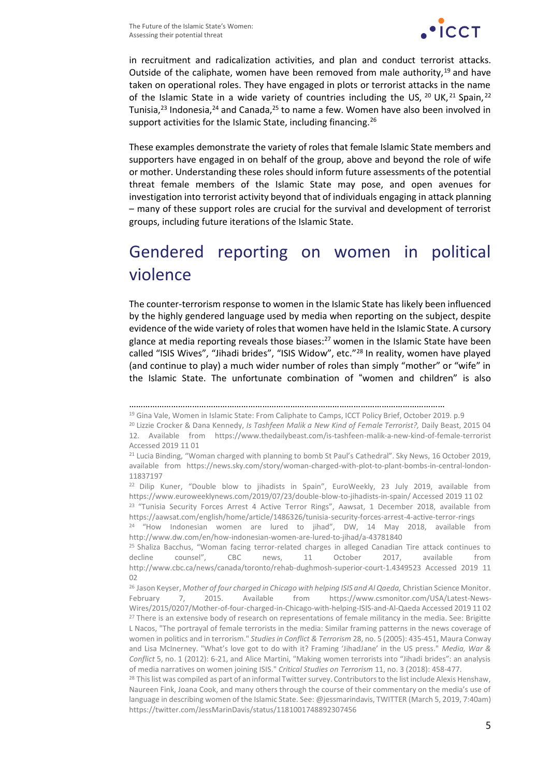

in recruitment and radicalization activities, and plan and conduct terrorist attacks. Outside of the caliphate, women have been removed from male authority,  $19$  and have taken on operational roles. They have engaged in plots or terrorist attacks in the name of the Islamic State in a wide variety of countries including the US,  $^{20}$  UK,  $^{21}$  Spain,  $^{22}$ Tunisia, $^{23}$  Indonesia, $^{24}$  and Canada, $^{25}$  to name a few. Women have also been involved in support activities for the Islamic State, including financing.<sup>26</sup>

These examples demonstrate the variety of roles that female Islamic State members and supporters have engaged in on behalf of the group, above and beyond the role of wife or mother. Understanding these roles should inform future assessments of the potential threat female members of the Islamic State may pose, and open avenues for investigation into terrorist activity beyond that of individuals engaging in attack planning – many of these support roles are crucial for the survival and development of terrorist groups, including future iterations of the Islamic State.

## Gendered reporting on women in political violence

The counter-terrorism response to women in the Islamic State has likely been influenced by the highly gendered language used by media when reporting on the subject, despite evidence of the wide variety of roles that women have held in the Islamic State. A cursory glance at media reporting reveals those biases: $27$  women in the Islamic State have been called "ISIS Wives", "Jihadi brides", "ISIS Widow", etc."<sup>28</sup> In reality, women have played (and continue to play) a much wider number of roles than simply "mother" or "wife" in the Islamic State. The unfortunate combination of "women and children" is also

<sup>………………………………………………………………………………………………………………………</sup> <sup>19</sup> Gina Vale, Women in Islamic State: From Caliphate to Camps, ICCT Policy Brief, October 2019. p.9

<sup>20</sup> Lizzie Crocker & Dana Kennedy, *Is Tashfeen Malik a New Kind of Female Terrorist?,* Daily Beast, 2015 04 12. Available from <https://www.thedailybeast.com/is-tashfeen-malik-a-new-kind-of-female-terrorist> Accessed 2019 11 01

<sup>&</sup>lt;sup>21</sup> Lucia Binding, "Woman charged with planning to bomb St Paul's Cathedral". Sky News, 16 October 2019, available from [https://news.sky.com/story/woman-charged-with-plot-to-plant-bombs-in-central-london-](https://news.sky.com/story/woman-charged-with-plot-to-plant-bombs-in-central-london-11837197)[11837197](https://news.sky.com/story/woman-charged-with-plot-to-plant-bombs-in-central-london-11837197)

<sup>&</sup>lt;sup>22</sup> Dilip Kuner, "Double blow to jihadists in Spain", EuroWeekly, 23 July 2019, available from <https://www.euroweeklynews.com/2019/07/23/double-blow-to-jihadists-in-spain/> Accessed 2019 11 02

<sup>&</sup>lt;sup>23</sup> "Tunisia Security Forces Arrest 4 Active Terror Rings", Aawsat, 1 December 2018, available from <https://aawsat.com/english/home/article/1486326/tunisia-security-forces-arrest-4-active-terror-rings>

<sup>&</sup>lt;sup>24</sup> "How Indonesian women are lured to jihad", DW, 14 May 2018, available from <http://www.dw.com/en/how-indonesian-women-are-lured-to-jihad/a-43781840>

<sup>&</sup>lt;sup>25</sup> Shaliza Bacchus, "Woman facing terror-related charges in alleged Canadian Tire attack continues to decline counsel", CBC news, 11 October 2017, available from <http://www.cbc.ca/news/canada/toronto/rehab-dughmosh-superior-court-1.4349523> Accessed 2019 11  $02$ 

<sup>26</sup> Jason Keyser, *Mother of four charged in Chicago with helping ISIS and Al Qaeda,* Christian Science Monitor. February 7, 2015. Available from [https://www.csmonitor.com/USA/Latest-News-](https://www.csmonitor.com/USA/Latest-News-Wires/2015/0207/Mother-of-four-charged-in-Chicago-with-helping-ISIS-and-Al-Qaeda)[Wires/2015/0207/Mother-of-four-charged-in-Chicago-with-helping-ISIS-and-Al-Qaeda](https://www.csmonitor.com/USA/Latest-News-Wires/2015/0207/Mother-of-four-charged-in-Chicago-with-helping-ISIS-and-Al-Qaeda) Accessed 2019 11 02 <sup>27</sup> There is an extensive body of research on representations of female militancy in the media. See: Brigitte L Nacos, "The portrayal of female terrorists in the media: Similar framing patterns in the news coverage of women in politics and in terrorism." *Studies in Conflict & Terrorism* 28, no. 5 (2005): 435-451, Maura Conway and Lisa McInerney. "What's love got to do with it? Framing 'JihadJane' in the US press." *Media, War & Conflict* 5, no. 1 (2012): 6-21, and Alice Martini, "Making women terrorists into "Jihadi brides": an analysis of media narratives on women joining ISIS." *Critical Studies on Terrorism* 11, no. 3 (2018): 458-477.

<sup>&</sup>lt;sup>28</sup> This list was compiled as part of an informal Twitter survey. Contributors to the list include Alexis Henshaw, Naureen Fink, Joana Cook, and many others through the course of their commentary on the media's use of language in describing women of the Islamic State. See: @jessmarindavis, TWITTER (March 5, 2019, 7:40am) <https://twitter.com/JessMarinDavis/status/1181001748892307456>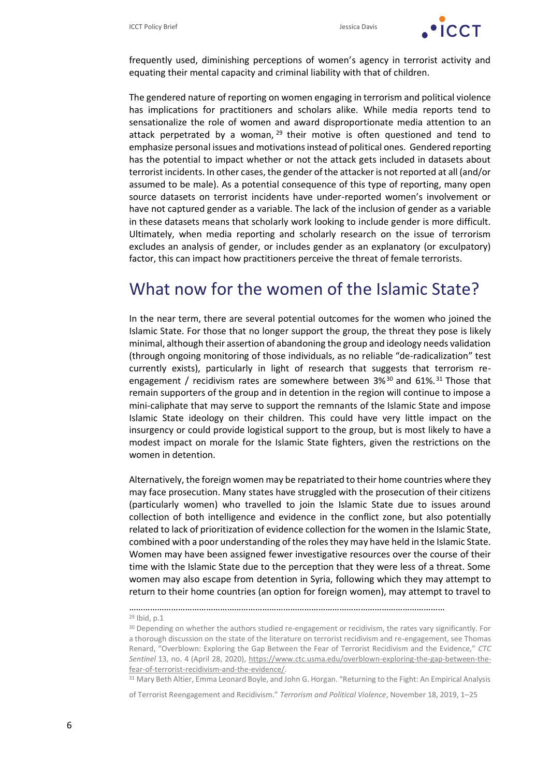

frequently used, diminishing perceptions of women's agency in terrorist activity and equating their mental capacity and criminal liability with that of children.

The gendered nature of reporting on women engaging in terrorism and political violence has implications for practitioners and scholars alike. While media reports tend to sensationalize the role of women and award disproportionate media attention to an attack perpetrated by a woman,  $29$  their motive is often questioned and tend to emphasize personal issues and motivations instead of political ones. Gendered reporting has the potential to impact whether or not the attack gets included in datasets about terrorist incidents. In other cases, the gender of the attacker is not reported at all (and/or assumed to be male). As a potential consequence of this type of reporting, many open source datasets on terrorist incidents have under-reported women's involvement or have not captured gender as a variable. The lack of the inclusion of gender as a variable in these datasets means that scholarly work looking to include gender is more difficult. Ultimately, when media reporting and scholarly research on the issue of terrorism excludes an analysis of gender, or includes gender as an explanatory (or exculpatory) factor, this can impact how practitioners perceive the threat of female terrorists.

#### What now for the women of the Islamic State?

In the near term, there are several potential outcomes for the women who joined the Islamic State. For those that no longer support the group, the threat they pose is likely minimal, although their assertion of abandoning the group and ideology needs validation (through ongoing monitoring of those individuals, as no reliable "de-radicalization" test currently exists), particularly in light of research that suggests that terrorism reengagement / recidivism rates are somewhere between  $3\%^{30}$  and  $61\%^{31}$  Those that remain supporters of the group and in detention in the region will continue to impose a mini-caliphate that may serve to support the remnants of the Islamic State and impose Islamic State ideology on their children. This could have very little impact on the insurgency or could provide logistical support to the group, but is most likely to have a modest impact on morale for the Islamic State fighters, given the restrictions on the women in detention.

Alternatively, the foreign women may be repatriated to their home countries where they may face prosecution. Many states have struggled with the prosecution of their citizens (particularly women) who travelled to join the Islamic State due to issues around collection of both intelligence and evidence in the conflict zone, but also potentially related to lack of prioritization of evidence collection for the women in the Islamic State, combined with a poor understanding of the roles they may have held in the Islamic State. Women may have been assigned fewer investigative resources over the course of their time with the Islamic State due to the perception that they were less of a threat. Some women may also escape from detention in Syria, following which they may attempt to return to their home countries (an option for foreign women), may attempt to travel to

<sup>31</sup> Mary Beth Altier, Emma Leonard Boyle, and John G. Horgan. "Returning to the Fight: An Empirical Analysis

of Terrorist Reengagement and Recidivism." *Terrorism and Political Violence*, November 18, 2019, 1–25

<sup>………………………………………………………………………………………………………………………</sup>

<sup>29</sup> Ibid, p.1

<sup>&</sup>lt;sup>30</sup> Depending on whether the authors studied re-engagement or recidivism, the rates vary significantly. For a thorough discussion on the state of the literature on terrorist recidivism and re-engagement, see Thomas Renard, "Overblown: Exploring the Gap Between the Fear of Terrorist Recidivism and the Evidence," *CTC Sentinel* 13, no. 4 (April 28, 2020), [https://www.ctc.usma.edu/overblown-exploring-the-gap-between-the](https://www.ctc.usma.edu/overblown-exploring-the-gap-between-the-fear-of-terrorist-recidivism-and-the-evidence/)[fear-of-terrorist-recidivism-and-the-evidence/.](https://www.ctc.usma.edu/overblown-exploring-the-gap-between-the-fear-of-terrorist-recidivism-and-the-evidence/)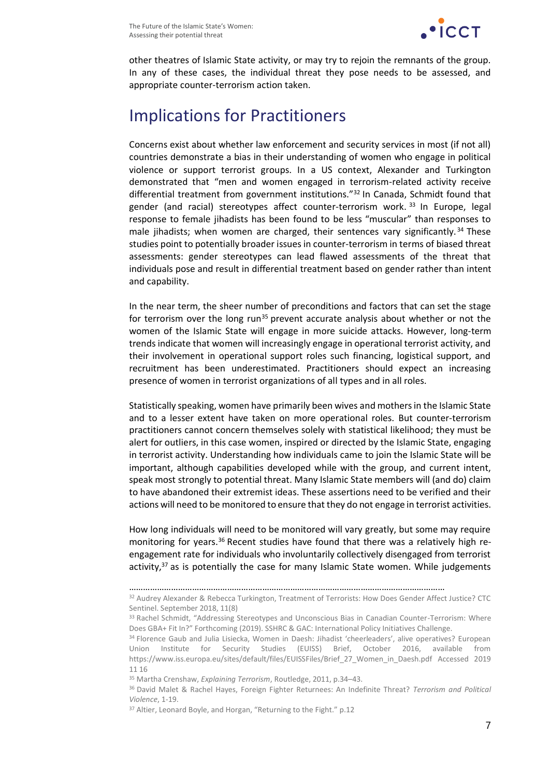

other theatres of Islamic State activity, or may try to rejoin the remnants of the group. In any of these cases, the individual threat they pose needs to be assessed, and appropriate counter-terrorism action taken.

### Implications for Practitioners

Concerns exist about whether law enforcement and security services in most (if not all) countries demonstrate a bias in their understanding of women who engage in political violence or support terrorist groups. In a US context, Alexander and Turkington demonstrated that "men and women engaged in terrorism-related activity receive differential treatment from government institutions."<sup>32</sup> In Canada, Schmidt found that gender (and racial) stereotypes affect counter-terrorism work. <sup>33</sup> In Europe, legal response to female jihadists has been found to be less "muscular" than responses to male jihadists; when women are charged, their sentences vary significantly.<sup>34</sup> These studies point to potentially broader issues in counter-terrorism in terms of biased threat assessments: gender stereotypes can lead flawed assessments of the threat that individuals pose and result in differential treatment based on gender rather than intent and capability.

In the near term, the sheer number of preconditions and factors that can set the stage for terrorism over the long run<sup>35</sup> prevent accurate analysis about whether or not the women of the Islamic State will engage in more suicide attacks. However, long-term trends indicate that women will increasingly engage in operational terrorist activity, and their involvement in operational support roles such financing, logistical support, and recruitment has been underestimated. Practitioners should expect an increasing presence of women in terrorist organizations of all types and in all roles.

Statistically speaking, women have primarily been wives and mothers in the Islamic State and to a lesser extent have taken on more operational roles. But counter-terrorism practitioners cannot concern themselves solely with statistical likelihood; they must be alert for outliers, in this case women, inspired or directed by the Islamic State, engaging in terrorist activity. Understanding how individuals came to join the Islamic State will be important, although capabilities developed while with the group, and current intent, speak most strongly to potential threat. Many Islamic State members will (and do) claim to have abandoned their extremist ideas. These assertions need to be verified and their actions will need to be monitored to ensure that they do not engage in terrorist activities.

How long individuals will need to be monitored will vary greatly, but some may require monitoring for years.<sup>36</sup> Recent studies have found that there was a relatively high reengagement rate for individuals who involuntarily collectively disengaged from terrorist activity, $37$  as is potentially the case for many Islamic State women. While judgements

<sup>………………………………………………………………………………………………………………………</sup>

<sup>&</sup>lt;sup>32</sup> Audrey Alexander & Rebecca Turkington, Treatment of Terrorists: How Does Gender Affect Justice? CTC Sentinel. September 2018, 11(8)

<sup>&</sup>lt;sup>33</sup> Rachel Schmidt, "Addressing Stereotypes and Unconscious Bias in Canadian Counter-Terrorism: Where Does GBA+ Fit In?" Forthcoming (2019). SSHRC & GAC: International Policy Initiatives Challenge.

<sup>34</sup> Florence Gaub and Julia Lisiecka, Women in Daesh: Jihadist 'cheerleaders', alive operatives? European Union Institute for Security Studies (EUISS) Brief, October 2016, available from [https://www.iss.europa.eu/sites/default/files/EUISSFiles/Brief\\_27\\_Women\\_in\\_Daesh.pdf](https://www.iss.europa.eu/sites/default/files/EUISSFiles/Brief_27_Women_in_Daesh.pdf) Accessed 2019 11 16

<sup>35</sup> Martha Crenshaw, *Explaining Terrorism*, Routledge, 2011, p.34–43.

<sup>36</sup> David Malet & Rachel Hayes, Foreign Fighter Returnees: An Indefinite Threat? *Terrorism and Political Violence*, 1-19.

<sup>&</sup>lt;sup>37</sup> Altier, Leonard Boyle, and Horgan, "Returning to the Fight." p.12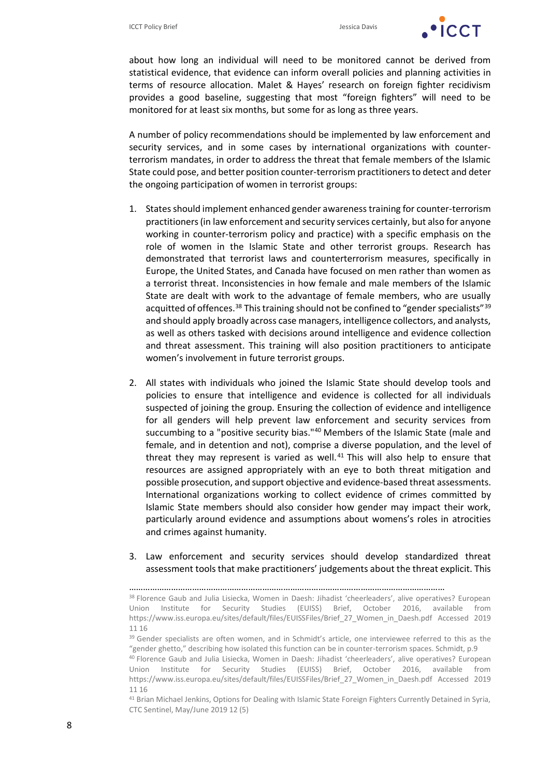

about how long an individual will need to be monitored cannot be derived from statistical evidence, that evidence can inform overall policies and planning activities in terms of resource allocation. Malet & Hayes' research on foreign fighter recidivism provides a good baseline, suggesting that most "foreign fighters" will need to be monitored for at least six months, but some for as long as three years.

A number of policy recommendations should be implemented by law enforcement and security services, and in some cases by international organizations with counterterrorism mandates, in order to address the threat that female members of the Islamic State could pose, and better position counter-terrorism practitioners to detect and deter the ongoing participation of women in terrorist groups:

- 1. States should implement enhanced gender awareness training for counter-terrorism practitioners (in law enforcement and security services certainly, but also for anyone working in counter-terrorism policy and practice) with a specific emphasis on the role of women in the Islamic State and other terrorist groups. Research has demonstrated that terrorist laws and counterterrorism measures, specifically in Europe, the United States, and Canada have focused on men rather than women as a terrorist threat. Inconsistencies in how female and male members of the Islamic State are dealt with work to the advantage of female members, who are usually acquitted of offences.<sup>38</sup> This training should not be confined to "gender specialists"<sup>39</sup> and should apply broadly across case managers, intelligence collectors, and analysts, as well as others tasked with decisions around intelligence and evidence collection and threat assessment. This training will also position practitioners to anticipate women's involvement in future terrorist groups.
- 2. All states with individuals who joined the Islamic State should develop tools and policies to ensure that intelligence and evidence is collected for all individuals suspected of joining the group. Ensuring the collection of evidence and intelligence for all genders will help prevent law enforcement and security services from succumbing to a "positive security bias."<sup>40</sup> Members of the Islamic State (male and female, and in detention and not), comprise a diverse population, and the level of threat they may represent is varied as well. <sup>41</sup> This will also help to ensure that resources are assigned appropriately with an eye to both threat mitigation and possible prosecution, and support objective and evidence-based threat assessments. International organizations working to collect evidence of crimes committed by Islamic State members should also consider how gender may impact their work, particularly around evidence and assumptions about womens's roles in atrocities and crimes against humanity.
- 3. Law enforcement and security services should develop standardized threat assessment tools that make practitioners' judgements about the threat explicit. This

………………………………………………………………………………………………………………………

<sup>41</sup> Brian Michael Jenkins, Options for Dealing with Islamic State Foreign Fighters Currently Detained in Syria, CTC Sentinel, May/June 2019 12 (5)

<sup>38</sup> Florence Gaub and Julia Lisiecka, Women in Daesh: Jihadist 'cheerleaders', alive operatives? European Union Institute for Security Studies (EUISS) Brief, October 2016, available from [https://www.iss.europa.eu/sites/default/files/EUISSFiles/Brief\\_27\\_Women\\_in\\_Daesh.pdf](https://www.iss.europa.eu/sites/default/files/EUISSFiles/Brief_27_Women_in_Daesh.pdf) Accessed 2019 11 16

<sup>&</sup>lt;sup>39</sup> Gender specialists are often women, and in Schmidt's article, one interviewee referred to this as the "gender ghetto," describing how isolated this function can be in counter-terrorism spaces. Schmidt, p.9

<sup>40</sup> Florence Gaub and Julia Lisiecka, Women in Daesh: Jihadist 'cheerleaders', alive operatives? European Union Institute for Security Studies (EUISS) Brief, October 2016, available from [https://www.iss.europa.eu/sites/default/files/EUISSFiles/Brief\\_27\\_Women\\_in\\_Daesh.pdf](https://www.iss.europa.eu/sites/default/files/EUISSFiles/Brief_27_Women_in_Daesh.pdf) Accessed 2019 11 16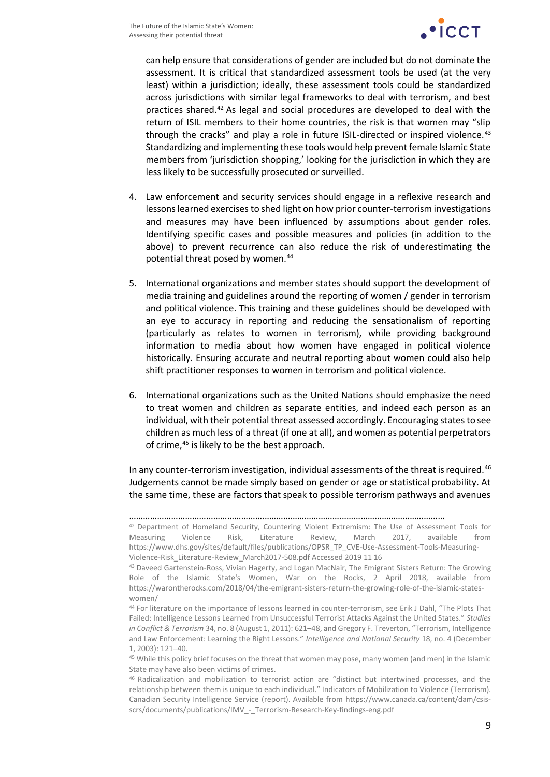

can help ensure that considerations of gender are included but do not dominate the assessment. It is critical that standardized assessment tools be used (at the very least) within a jurisdiction; ideally, these assessment tools could be standardized across jurisdictions with similar legal frameworks to deal with terrorism, and best practices shared.<sup>42</sup> As legal and social procedures are developed to deal with the return of ISIL members to their home countries, the risk is that women may "slip through the cracks" and play a role in future ISIL-directed or inspired violence.<sup>43</sup> Standardizing and implementing these tools would help prevent female Islamic State members from 'jurisdiction shopping,' looking for the jurisdiction in which they are less likely to be successfully prosecuted or surveilled.

- 4. Law enforcement and security services should engage in a reflexive research and lessons learned exercises to shed light on how prior counter-terrorism investigations and measures may have been influenced by assumptions about gender roles. Identifying specific cases and possible measures and policies (in addition to the above) to prevent recurrence can also reduce the risk of underestimating the potential threat posed by women.<sup>44</sup>
- 5. International organizations and member states should support the development of media training and guidelines around the reporting of women / gender in terrorism and political violence. This training and these guidelines should be developed with an eye to accuracy in reporting and reducing the sensationalism of reporting (particularly as relates to women in terrorism), while providing background information to media about how women have engaged in political violence historically. Ensuring accurate and neutral reporting about women could also help shift practitioner responses to women in terrorism and political violence.
- 6. International organizations such as the United Nations should emphasize the need to treat women and children as separate entities, and indeed each person as an individual, with their potential threat assessed accordingly. Encouraging states to see children as much less of a threat (if one at all), and women as potential perpetrators of crime,<sup>45</sup> is likely to be the best approach.

In any counter-terrorism investigation, individual assessments of the threat is required.<sup>46</sup> Judgements cannot be made simply based on gender or age or statistical probability. At the same time, these are factors that speak to possible terrorism pathways and avenues

<sup>………………………………………………………………………………………………………………………</sup> <sup>42</sup> Department of Homeland Security, Countering Violent Extremism: The Use of Assessment Tools for Measuring Violence Risk, Literature Review, March 2017, available from [https://www.dhs.gov/sites/default/files/publications/OPSR\\_TP\\_CVE-Use-Assessment-Tools-Measuring-](https://www.dhs.gov/sites/default/files/publications/OPSR_TP_CVE-Use-Assessment-Tools-Measuring-Violence-Risk_Literature-Review_March2017-508.pdf)[Violence-Risk\\_Literature-Review\\_March2017-508.pdf](https://www.dhs.gov/sites/default/files/publications/OPSR_TP_CVE-Use-Assessment-Tools-Measuring-Violence-Risk_Literature-Review_March2017-508.pdf) Accessed 2019 11 16

<sup>43</sup> Daveed Gartenstein-Ross, Vivian Hagerty, and Logan MacNair, The Emigrant Sisters Return: The Growing Role of the Islamic State's Women, War on the Rocks, 2 April 2018, available from https://warontherocks.com/2018/04/the-emigrant-sisters-return-the-growing-role-of-the-islamic-stateswomen/

<sup>44</sup> For literature on the importance of lessons learned in counter-terrorism, see Erik J Dahl, "The Plots That Failed: Intelligence Lessons Learned from Unsuccessful Terrorist Attacks Against the United States." *Studies in Conflict & Terrorism* 34, no. 8 (August 1, 2011): 621–48, and Gregory F. Treverton, "Terrorism, Intelligence and Law Enforcement: Learning the Right Lessons." *Intelligence and National Security* 18, no. 4 (December 1, 2003): 121–40.

<sup>45</sup> While this policy brief focuses on the threat that women may pose, many women (and men) in the Islamic State may have also been victims of crimes.

<sup>46</sup> Radicalization and mobilization to terrorist action are "distinct but intertwined processes, and the relationship between them is unique to each individual." Indicators of Mobilization to Violence (Terrorism). Canadian Security Intelligence Service (report). Available from [https://www.canada.ca/content/dam/csis](https://www.canada.ca/content/dam/csis-scrs/documents/publications/IMV_-_Terrorism-Research-Key-findings-eng.pdf)[scrs/documents/publications/IMV\\_-\\_Terrorism-Research-Key-findings-eng.pdf](https://www.canada.ca/content/dam/csis-scrs/documents/publications/IMV_-_Terrorism-Research-Key-findings-eng.pdf)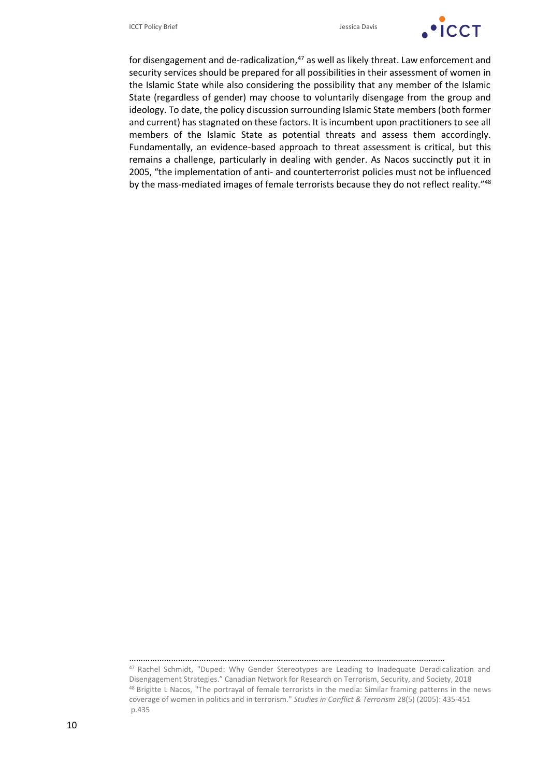

for disengagement and de-radicalization,<sup>47</sup> as well as likely threat. Law enforcement and security services should be prepared for all possibilities in their assessment of women in the Islamic State while also considering the possibility that any member of the Islamic State (regardless of gender) may choose to voluntarily disengage from the group and ideology. To date, the policy discussion surrounding Islamic State members (both former and current) has stagnated on these factors. It is incumbent upon practitioners to see all members of the Islamic State as potential threats and assess them accordingly. Fundamentally, an evidence-based approach to threat assessment is critical, but this remains a challenge, particularly in dealing with gender. As Nacos succinctly put it in 2005, "the implementation of anti- and counterterrorist policies must not be influenced by the mass-mediated images of female terrorists because they do not reflect reality."<sup>48</sup>

<sup>………………………………………………………………………………………………………………………</sup> <sup>47</sup> Rachel Schmidt, "Duped: Why Gender Stereotypes are Leading to Inadequate Deradicalization and Disengagement Strategies." Canadian Network for Research on Terrorism, Security, and Society, 2018

<sup>48</sup> Brigitte L Nacos, "The portrayal of female terrorists in the media: Similar framing patterns in the news coverage of women in politics and in terrorism." *Studies in Conflict & Terrorism* 28(5) (2005): 435-451 p.435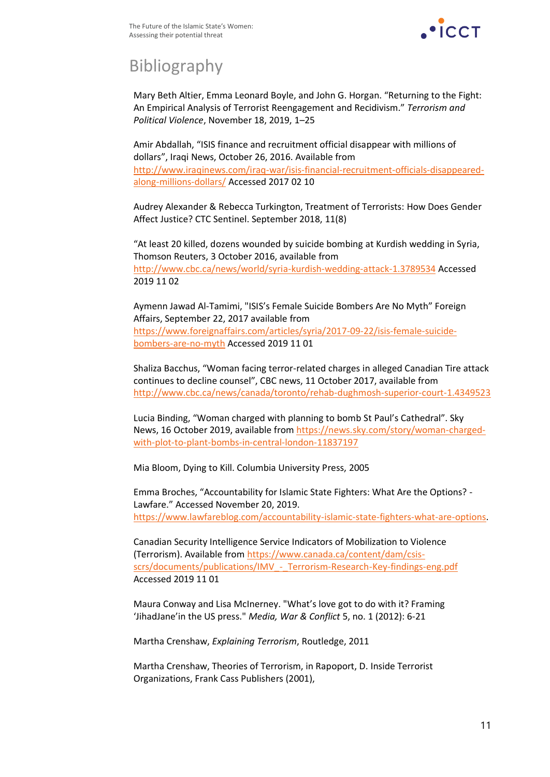

## Bibliography

Mary Beth Altier, Emma Leonard Boyle, and John G. Horgan. "Returning to the Fight: An Empirical Analysis of Terrorist Reengagement and Recidivism." *Terrorism and Political Violence*, November 18, 2019, 1–25

Amir Abdallah, "ISIS finance and recruitment official disappear with millions of dollars", Iraqi News, October 26, 2016. Available from [http://www.iraqinews.com/iraq-war/isis-financial-recruitment-officials-disappeared](http://www.iraqinews.com/iraq-war/isis-financial-recruitment-officials-disappeared-along-millions-dollars/)[along-millions-dollars/](http://www.iraqinews.com/iraq-war/isis-financial-recruitment-officials-disappeared-along-millions-dollars/) Accessed 2017 02 10

Audrey Alexander & Rebecca Turkington, Treatment of Terrorists: How Does Gender Affect Justice? CTC Sentinel. September 2018, 11(8)

"At least 20 killed, dozens wounded by suicide bombing at Kurdish wedding in Syria, Thomson Reuters, 3 October 2016, available from <http://www.cbc.ca/news/world/syria-kurdish-wedding-attack-1.3789534> Accessed 2019 11 02

Aymenn Jawad Al-Tamimi, "ISIS's Female Suicide Bombers Are No Myth" Foreign Affairs, September 22, 2017 available from [https://www.foreignaffairs.com/articles/syria/2017-09-22/isis-female-suicide](https://www.foreignaffairs.com/articles/syria/2017-09-22/isis-female-suicide-bombers-are-no-myth)[bombers-are-no-myth](https://www.foreignaffairs.com/articles/syria/2017-09-22/isis-female-suicide-bombers-are-no-myth) Accessed 2019 11 01

Shaliza Bacchus, "Woman facing terror-related charges in alleged Canadian Tire attack continues to decline counsel", CBC news, 11 October 2017, available from [http://www.cbc.ca/news/canada/toronto/rehab-dughmosh-superior-court-1.4349523](http://www.cbc.ca/news/canada/toronto/rehab-dughmosh-superio)

Lucia Binding, "Woman charged with planning to bomb St Paul's Cathedral". Sky News, 16 October 2019, available from [https://news.sky.com/story/woman-charged](https://news.sky.com/story/w)[with-plot-to-plant-bombs-in-central-london-11837197](https://news.sky.com/story/w)

Mia Bloom, Dying to Kill. Columbia University Press, 2005

Emma Broches, "Accountability for Islamic State Fighters: What Are the Options? - Lawfare." Accessed November 20, 2019. [https://www.lawfareblog.com/accountability-islamic-state-fighters-what-are-options.](https://www.lawfareblog.com/accountability-islamic-state-fighters-what-are-options)

Canadian Security Intelligence Service Indicators of Mobilization to Violence (Terrorism). Available fro[m https://www.canada.ca/content/dam/csis](https://www.canada.ca/content/dam/csis-scrs/documents/publications/IMV_-_Terrorism-Research-Key-findings-eng.pdf)scrs/documents/publications/IMV - Terrorism-Research-Key-findings-eng.pdf Accessed 2019 11 01

Maura Conway and Lisa McInerney. "What's love got to do with it? Framing 'JihadJane'in the US press." *Media, War & Conflict* 5, no. 1 (2012): 6-21

Martha Crenshaw, *Explaining Terrorism*, Routledge, 2011

Martha Crenshaw, Theories of Terrorism, in Rapoport, D. Inside Terrorist Organizations, Frank Cass Publishers (2001),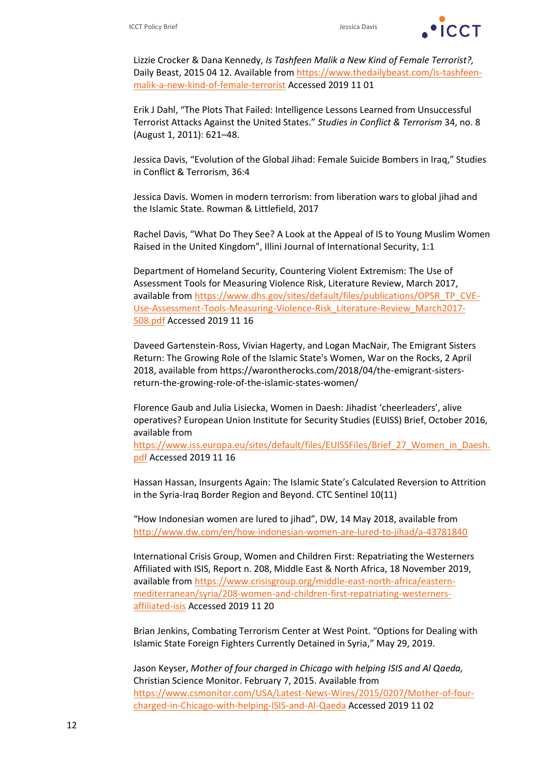

Lizzie Crocker & Dana Kennedy, *Is Tashfeen Malik a New Kind of Female Terrorist?,* Daily Beast, 2015 04 12. Available from [https://www.thedailybeast.com/is-tashfeen](https://www.thedailybeast.com/is-t)[malik-a-new-kind-of-female-terrorist](https://www.thedailybeast.com/is-t) Accessed 2019 11 01

Erik J Dahl, "The Plots That Failed: Intelligence Lessons Learned from Unsuccessful Terrorist Attacks Against the United States." *Studies in Conflict & Terrorism* 34, no. 8 (August 1, 2011): 621–48.

Jessica Davis, "Evolution of the Global Jihad: Female Suicide Bombers in Iraq," Studies in Conflict & Terrorism, 36:4

Jessica Davis. Women in modern terrorism: from liberation wars to global jihad and the Islamic State. Rowman & Littlefield, 2017

Rachel Davis, "What Do They See? A Look at the Appeal of IS to Young Muslim Women Raised in the United Kingdom", Illini Journal of International Security, 1:1

Department of Homeland Security, Countering Violent Extremism: The Use of Assessment Tools for Measuring Violence Risk, Literature Review, March 2017, available from [https://www.dhs.gov/sites/default/files/publications/OPSR\\_TP\\_CVE-](https://www.dhs.g/)[Use-Assessment-Tools-Measuring-Violence-Risk\\_Literature-Review\\_March2017-](https://www.dhs.g/) [508.pdf](https://www.dhs.g/) Accessed 2019 11 16

Daveed Gartenstein-Ross, Vivian Hagerty, and Logan MacNair, The Emigrant Sisters Return: The Growing Role of the Islamic State's Women, War on the Rocks, 2 April 2018, available from https://warontherocks.com/2018/04/the-emigrant-sistersreturn-the-growing-role-of-the-islamic-states-women/

Florence Gaub and Julia Lisiecka, Women in Daesh: Jihadist 'cheerleaders', alive operatives? European Union Institute for Security Studies (EUISS) Brief, October 2016, available from

[https://www.iss.europa.eu/sites/default/files/EUISSFiles/Brief\\_27\\_Women\\_in\\_Daesh.](https://www.iss.europa.eu/sites/default/files/EUISSFiles/Brief_27_Women_in_Daesh.pdf) [pdf](https://www.iss.europa.eu/sites/default/files/EUISSFiles/Brief_27_Women_in_Daesh.pdf) Accessed 2019 11 16

Hassan Hassan, Insurgents Again: The Islamic State's Calculated Reversion to Attrition in the Syria-Iraq Border Region and Beyond. CTC Sentinel 10(11)

"How Indonesian women are lured to jihad", DW, 14 May 2018, available from <http://www.dw.com/en/how-indonesian-women-are-lured-to-jihad/a-43781840>

International Crisis Group, Women and Children First: Repatriating the Westerners Affiliated with ISIS, Report n. 208, Middle East & North Africa, 18 November 2019, available from https://www.crisisgroup.org/middle-east-north-africa/easternmediterranean/syria/208-women-and-children-first-repatriating-westernersaffiliated-isis Accessed 2019 11 20

Brian Jenkins, Combating Terrorism Center at West Point. "Options for Dealing with Islamic State Foreign Fighters Currently Detained in Syria," May 29, 2019.

Jason Keyser, *Mother of four charged in Chicago with helping ISIS and Al Qaeda,* Christian Science Monitor. February 7, 2015. Available from [https://www.csmonitor.com/USA/Latest-News-Wires/2015/0207/Mother-of-four](https://www.csmonitor.com/USA/Latest-News-Wires/2015/0207/Mother-of-four-charged-in-Chicago-with-helping-ISIS-and-Al-Qaeda)[charged-in-Chicago-with-helping-ISIS-and-Al-Qaeda](https://www.csmonitor.com/USA/Latest-News-Wires/2015/0207/Mother-of-four-charged-in-Chicago-with-helping-ISIS-and-Al-Qaeda) Accessed 2019 11 02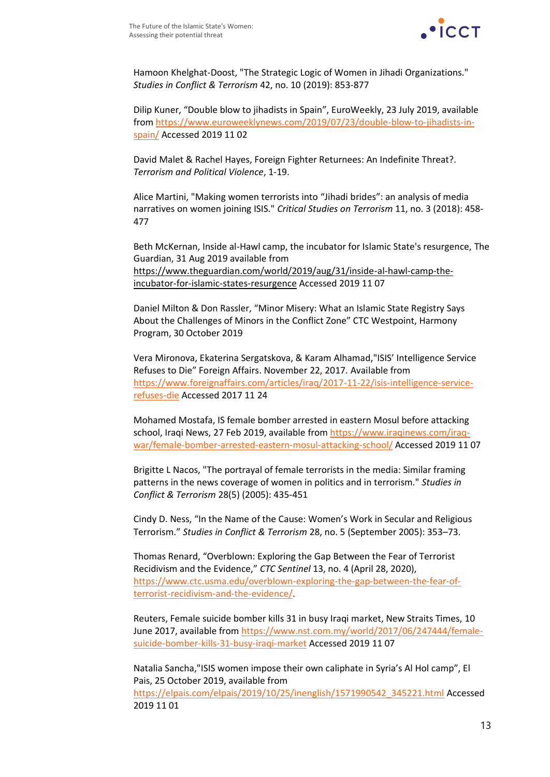

Hamoon Khelghat-Doost, "The Strategic Logic of Women in Jihadi Organizations." *Studies in Conflict & Terrorism* 42, no. 10 (2019): 853-877

Dilip Kuner, "Double blow to jihadists in Spain", EuroWeekly, 23 July 2019, available from [https://www.euroweeklynews.com/2019/07/23/double-blow-to-jihadists-in](https://www.euroweeklynews.com/2019/07/23/double-blow-to-jihadists-in-spain/)[spain/](https://www.euroweeklynews.com/2019/07/23/double-blow-to-jihadists-in-spain/) Accessed 2019 11 02

David Malet & Rachel Hayes, Foreign Fighter Returnees: An Indefinite Threat?. *Terrorism and Political Violence*, 1-19.

Alice Martini, "Making women terrorists into "Jihadi brides": an analysis of media narratives on women joining ISIS." *Critical Studies on Terrorism* 11, no. 3 (2018): 458- 477

Beth McKernan, Inside al-Hawl camp, the incubator for Islamic State's resurgence, The Guardian, 31 Aug 2019 available from https://www.theguardian.com/world/2019/aug/31/inside-al-hawl-camp-theincubator-for-islamic-states-resurgence Accessed 2019 11 07

Daniel Milton & Don Rassler, "Minor Misery: What an Islamic State Registry Says About the Challenges of Minors in the Conflict Zone" CTC Westpoint, Harmony Program, 30 October 2019

Vera Mironova, Ekaterina Sergatskova, & Karam Alhamad,"ISIS' Intelligence Service Refuses to Die" Foreign Affairs. November 22, 2017. Available from [https://www.foreignaffairs.com/articles/iraq/2017-11-22/isis-intelligence-service](https://www.foreignaffairs/)[refuses-die](https://www.foreignaffairs/) Accessed 2017 11 24

Mohamed Mostafa, IS female bomber arrested in eastern Mosul before attacking school, Iraqi News, 27 Feb 2019, available from [https://www.iraqinews.com/iraq](https://www.iraqinews.com/iraq-war/female-bomber-arrested-eastern-mosul-attacking-school/)[war/female-bomber-arrested-eastern-mosul-attacking-school/](https://www.iraqinews.com/iraq-war/female-bomber-arrested-eastern-mosul-attacking-school/) Accessed 2019 11 07

Brigitte L Nacos, "The portrayal of female terrorists in the media: Similar framing patterns in the news coverage of women in politics and in terrorism." *Studies in Conflict & Terrorism* 28(5) (2005): 435-451

Cindy D. Ness, "In the Name of the Cause: Women's Work in Secular and Religious Terrorism." *Studies in Conflict & Terrorism* 28, no. 5 (September 2005): 353–73.

Thomas Renard, "Overblown: Exploring the Gap Between the Fear of Terrorist Recidivism and the Evidence," *CTC Sentinel* 13, no. 4 (April 28, 2020), [https://www.ctc.usma.edu/overblown-exploring-the-gap-between-the-fear-of](https://www.ctc.usma.edu/overblown-exploring-the-gap-between-the-fear-of-terrorist-recidivism-and-the-evidence/)[terrorist-recidivism-and-the-evidence/.](https://www.ctc.usma.edu/overblown-exploring-the-gap-between-the-fear-of-terrorist-recidivism-and-the-evidence/)

Reuters, Female suicide bomber kills 31 in busy Iraqi market, New Straits Times, 10 June 2017, available from [https://www.nst.com.my/world/2017/06/247444/female](https://www.nst.com.my/world/2017/06/247444/female-suicide-bomber-kills-31-busy-iraqi-market)[suicide-bomber-kills-31-busy-iraqi-market](https://www.nst.com.my/world/2017/06/247444/female-suicide-bomber-kills-31-busy-iraqi-market) Accessed 2019 11 07

Natalia Sancha,"ISIS women impose their own caliphate in Syria's Al Hol camp", El Pais, 25 October 2019, available from [https://elpais.com/elpais/2019/10/25/inenglish/1571990542\\_345221.html](https://elpais.com/elpais/2019/10/25/inenglish/1571990542_345221.html) Accessed 2019 11 01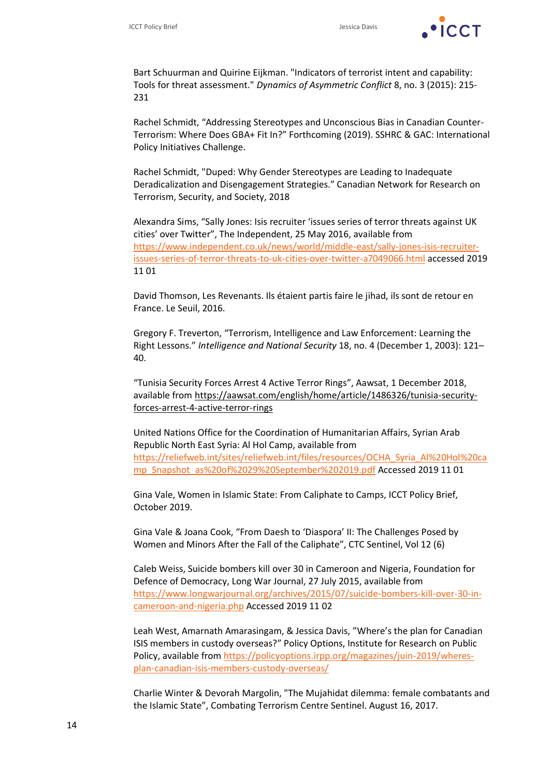

Bart Schuurman and Quirine Eijkman. "Indicators of terrorist intent and capability: Tools for threat assessment." *Dynamics of Asymmetric Conflict* 8, no. 3 (2015): 215- 231

Rachel Schmidt, "Addressing Stereotypes and Unconscious Bias in Canadian Counter-Terrorism: Where Does GBA+ Fit In?" Forthcoming (2019). SSHRC & GAC: International Policy Initiatives Challenge.

Rachel Schmidt, "Duped: Why Gender Stereotypes are Leading to Inadequate Deradicalization and Disengagement Strategies." Canadian Network for Research on Terrorism, Security, and Society, 2018

Alexandra Sims, "Sally Jones: Isis recruiter 'issues series of terror threats against UK cities' over Twitter", The Independent, 25 May 2016, available from [https://www.independent.co.uk/news/world/middle-east/sally-jones-isis-recruiter](https://www.independent.co.uk/news/wor)[issues-series-of-terror-threats-to-uk-cities-over-twitter-a7049066.html](https://www.independent.co.uk/news/wor) accessed 2019 11 01

David Thomson, Les Revenants. Ils étaient partis faire le jihad, ils sont de retour en France. Le Seuil, 2016.

Gregory F. Treverton, "Terrorism, Intelligence and Law Enforcement: Learning the Right Lessons." *Intelligence and National Security* 18, no. 4 (December 1, 2003): 121– 40.

"Tunisia Security Forces Arrest 4 Active Terror Rings", Aawsat, 1 December 2018, available from https://aawsat.com/english/home/article/1486326/tunisia-securityforces-arrest-4-active-terror-rings

United Nations Office for the Coordination of Humanitarian Affairs, Syrian Arab Republic North East Syria: Al Hol Camp, available from [https://reliefweb.int/sites/reliefweb.int/files/resources/OCHA\\_Syria\\_Al%20Hol%20ca](https://reliefweb.int/sites/reliefweb.int/files/resources/OCHA_Syria_Al%20Ho) [mp\\_Snapshot\\_as%20of%2029%20September%202019.pdf](https://reliefweb.int/sites/reliefweb.int/files/resources/OCHA_Syria_Al%20Ho) Accessed 2019 11 01

Gina Vale, Women in Islamic State: From Caliphate to Camps, ICCT Policy Brief, October 2019.

Gina Vale & Joana Cook, "From Daesh to 'Diaspora' II: The Challenges Posed by Women and Minors After the Fall of the Caliphate", CTC Sentinel, Vol 12 (6)

Caleb Weiss, Suicide bombers kill over 30 in Cameroon and Nigeria, Foundation for Defence of Democracy, Long War Journal, 27 July 2015, available from [https://www.longwarjournal.org/archives/2015/07/suicide-bombers-kill-over-30-in](https://www.longwarjournal.org/archives/2015/07/suicide-bombers-kill-over-30-in-cameroon-and-nigeria.php)[cameroon-and-nigeria.php](https://www.longwarjournal.org/archives/2015/07/suicide-bombers-kill-over-30-in-cameroon-and-nigeria.php) Accessed 2019 11 02

Leah West, Amarnath Amarasingam, & Jessica Davis, "Where's the plan for Canadian ISIS members in custody overseas?" Policy Options, Institute for Research on Public Policy, available from [https://policyoptions.irpp.org/magazines/juin-2019/wheres](https://policyoptions.irpp.org/magazines/ju)[plan-canadian-isis-members-custody-overseas/](https://policyoptions.irpp.org/magazines/ju)

Charlie Winter & Devorah Margolin, "The Mujahidat dilemma: female combatants and the Islamic State", Combating Terrorism Centre Sentinel. August 16, 2017.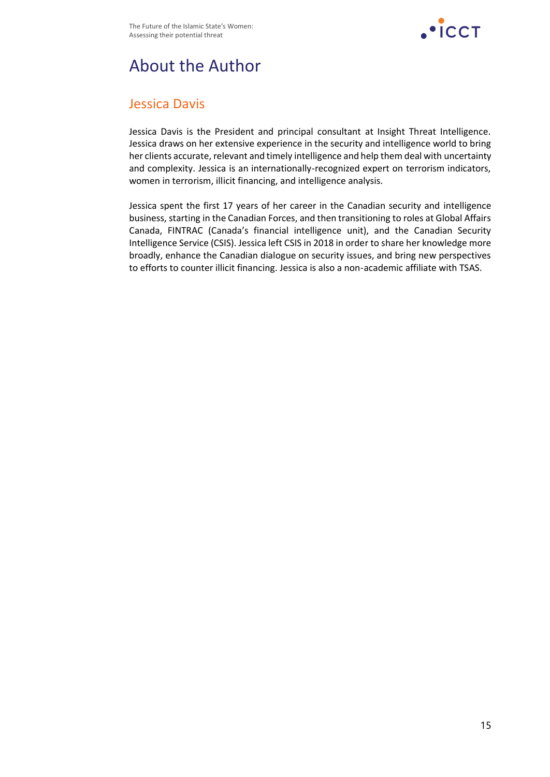

## About the Author

#### Jessica Davis

Jessica Davis is the President and principal consultant at Insight Threat Intelligence. Jessica draws on her extensive experience in the security and intelligence world to bring her clients accurate, relevant and timely intelligence and help them deal with uncertainty and complexity. Jessica is an internationally-recognized expert on terrorism indicators, women in terrorism, illicit financing, and intelligence analysis.

Jessica spent the first 17 years of her career in the Canadian security and intelligence business, starting in the Canadian Forces, and then transitioning to roles at Global Affairs Canada, FINTRAC (Canada's financial intelligence unit), and the Canadian Security Intelligence Service (CSIS). Jessica left CSIS in 2018 in order to share her knowledge more broadly, enhance the Canadian dialogue on security issues, and bring new perspectives to efforts to counter illicit financing. Jessica is also a non-academic affiliate with TSAS.